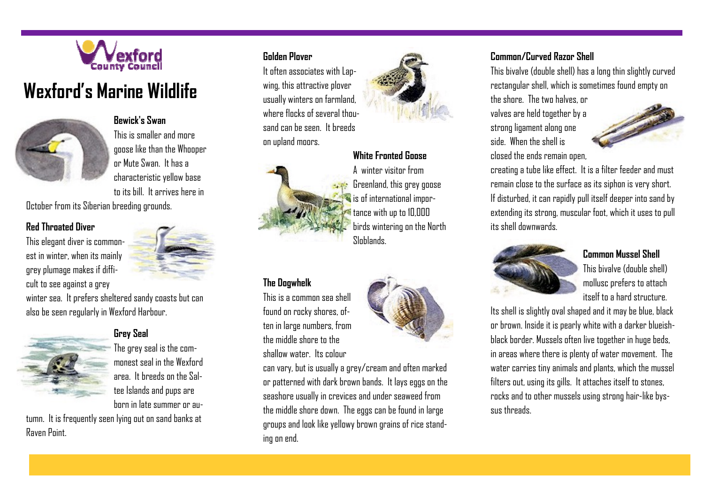

# **Wexford's Marine Wildlife**



**Bewick's Swan** This is smaller and more goose like than the Whooper or Mute Swan. It has a characteristic yellow base to its bill. It arrives here in

October from its Siberian breeding grounds.

# **Red Throated Diver**

This elegant diver is commonest in winter, when its mainly grey plumage makes if difficult to see against a grey



winter sea. It prefers sheltered sandy coasts but can also be seen regularly in Wexford Harbour.



## **Grey Seal**

The grey seal is the commonest seal in the Wexford area. It breeds on the Saltee Islands and pups are born in late summer or au-

tumn. It is frequently seen lying out on sand banks at Raven Point.

## **Golden Plover**

It often associates with Lapwing, this attractive plover usually winters on farmland, where flocks of several thousand can be seen. It breeds on upland moors.



# **White Fronted Goose**



**The Dogwhelk** 

This is a common sea shell found on rocky shores, often in large numbers, from the middle shore to the shallow water. Its colour

A winter visitor from Greenland, this grey goose is of international importance with up to 10,000 birds wintering on the North Sloblands.



can vary, but is usually a grey/cream and often marked or patterned with dark brown bands. It lays eggs on the seashore usually in crevices and under seaweed from the middle shore down. The eggs can be found in large groups and look like yellowy brown grains of rice standing on end.

## **Common/Curved Razor Shell**

This bivalve (double shell) has a long thin slightly curved rectangular shell, which is sometimes found empty on the shore. The two halves, or

valves are held together by a strong ligament along one side. When the shell is closed the ends remain open,



creating a tube like effect. It is a filter feeder and must remain close to the surface as its siphon is very short. If disturbed, it can rapidly pull itself deeper into sand by extending its strong, muscular foot, which it uses to pull its shell downwards.



#### **Common Mussel Shell**

This bivalve (double shell) mollusc prefers to attach itself to a hard structure.

Its shell is slightly oval shaped and it may be blue, black or brown. Inside it is pearly white with a darker blueishblack border. Mussels often live together in huge beds, in areas where there is plenty of water movement. The water carries tiny animals and plants, which the mussel filters out, using its gills. It attaches itself to stones, rocks and to other mussels using strong hair-like byssus threads.